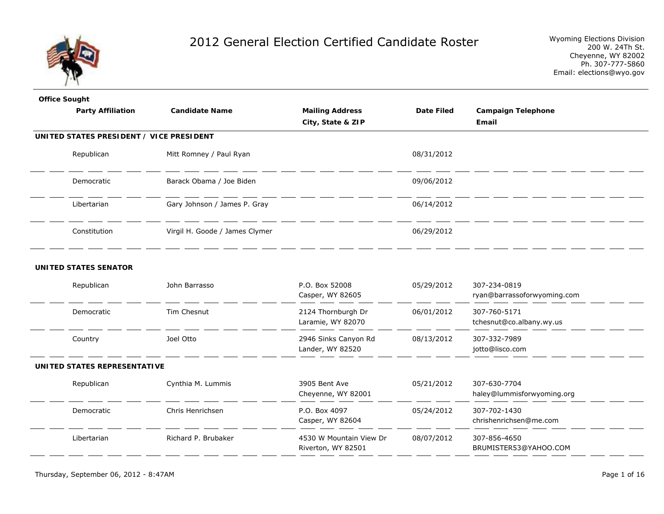

| <b>Office Sought</b>         |                                          |                          |                                               |                   |                                             |
|------------------------------|------------------------------------------|--------------------------|-----------------------------------------------|-------------------|---------------------------------------------|
|                              | <b>Candidate Name</b>                    | <b>Party Affiliation</b> | <b>Mailing Address</b>                        | <b>Date Filed</b> | <b>Campaign Telephone</b>                   |
|                              |                                          |                          | City, State & ZIP                             |                   | Email                                       |
|                              | UNITED STATES PRESIDENT / VICE PRESIDENT |                          |                                               |                   |                                             |
| Republican                   | Mitt Romney / Paul Ryan                  |                          |                                               | 08/31/2012        |                                             |
| Democratic                   | Barack Obama / Joe Biden                 |                          |                                               | 09/06/2012        |                                             |
| Libertarian                  | Gary Johnson / James P. Gray             |                          |                                               | 06/14/2012        |                                             |
| Constitution                 | Virgil H. Goode / James Clymer           |                          |                                               | 06/29/2012        |                                             |
| <b>UNITED STATES SENATOR</b> |                                          |                          |                                               |                   |                                             |
| Republican                   | John Barrasso                            |                          | P.O. Box 52008<br>Casper, WY 82605            | 05/29/2012        | 307-234-0819<br>ryan@barrassoforwyoming.com |
| Democratic                   | Tim Chesnut                              |                          | 2124 Thornburgh Dr<br>Laramie, WY 82070       | 06/01/2012        | 307-760-5171<br>tchesnut@co.albany.wy.us    |
| Country                      | Joel Otto                                |                          | 2946 Sinks Canyon Rd<br>Lander, WY 82520      | 08/13/2012        | 307-332-7989<br>jotto@lisco.com             |
| UNITED STATES REPRESENTATIVE |                                          |                          |                                               |                   |                                             |
| Republican                   | Cynthia M. Lummis                        |                          | 3905 Bent Ave<br>Cheyenne, WY 82001           | 05/21/2012        | 307-630-7704<br>haley@lummisforwyoming.org  |
| Democratic                   | Chris Henrichsen                         |                          | P.O. Box 4097<br>Casper, WY 82604             | 05/24/2012        | 307-702-1430<br>chrishenrichsen@me.com      |
| Libertarian                  | Richard P. Brubaker                      |                          | 4530 W Mountain View Dr<br>Riverton, WY 82501 | 08/07/2012        | 307-856-4650<br>BRUMISTER53@YAHOO.COM       |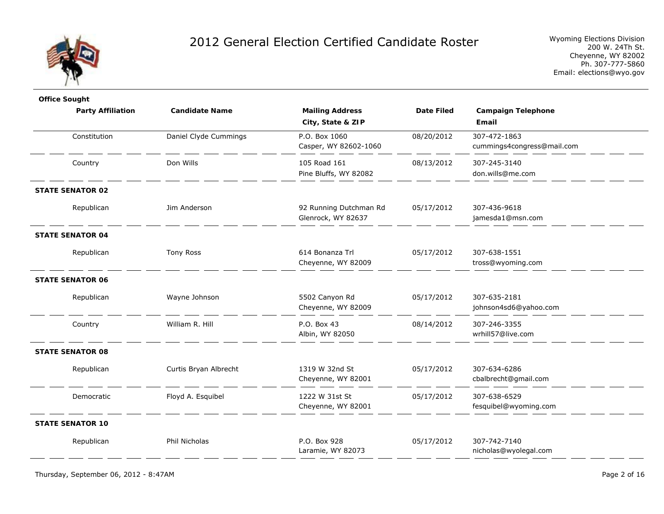

| <b>Office Sought</b>     |                       |                                              |                   |                                            |
|--------------------------|-----------------------|----------------------------------------------|-------------------|--------------------------------------------|
| <b>Party Affiliation</b> | <b>Candidate Name</b> | <b>Mailing Address</b><br>City, State & ZIP  | <b>Date Filed</b> | <b>Campaign Telephone</b><br>Email         |
| Constitution             | Daniel Clyde Cummings | P.O. Box 1060<br>Casper, WY 82602-1060       | 08/20/2012        | 307-472-1863<br>cummings4congress@mail.com |
| Country                  | Don Wills             | 105 Road 161<br>Pine Bluffs, WY 82082        | 08/13/2012        | 307-245-3140<br>don.wills@me.com           |
| <b>STATE SENATOR 02</b>  |                       |                                              |                   |                                            |
| Republican               | Jim Anderson          | 92 Running Dutchman Rd<br>Glenrock, WY 82637 | 05/17/2012        | 307-436-9618<br>jamesda1@msn.com           |
| <b>STATE SENATOR 04</b>  |                       |                                              |                   |                                            |
| Republican               | <b>Tony Ross</b>      | 614 Bonanza Trl<br>Cheyenne, WY 82009        | 05/17/2012        | 307-638-1551<br>tross@wyoming.com          |
| <b>STATE SENATOR 06</b>  |                       |                                              |                   |                                            |
| Republican               | Wayne Johnson         | 5502 Canyon Rd<br>Cheyenne, WY 82009         | 05/17/2012        | 307-635-2181<br>johnson4sd6@yahoo.com      |
| Country                  | William R. Hill       | P.O. Box 43<br>Albin, WY 82050               | 08/14/2012        | 307-246-3355<br>wrhill57@live.com          |
| <b>STATE SENATOR 08</b>  |                       |                                              |                   |                                            |
| Republican               | Curtis Bryan Albrecht | 1319 W 32nd St<br>Cheyenne, WY 82001         | 05/17/2012        | 307-634-6286<br>cbalbrecht@gmail.com       |
| Democratic               | Floyd A. Esquibel     | 1222 W 31st St<br>Cheyenne, WY 82001         | 05/17/2012        | 307-638-6529<br>fesquibel@wyoming.com      |
| <b>STATE SENATOR 10</b>  |                       |                                              |                   |                                            |
| Republican               | Phil Nicholas         | P.O. Box 928<br>Laramie, WY 82073            | 05/17/2012        | 307-742-7140<br>nicholas@wyolegal.com      |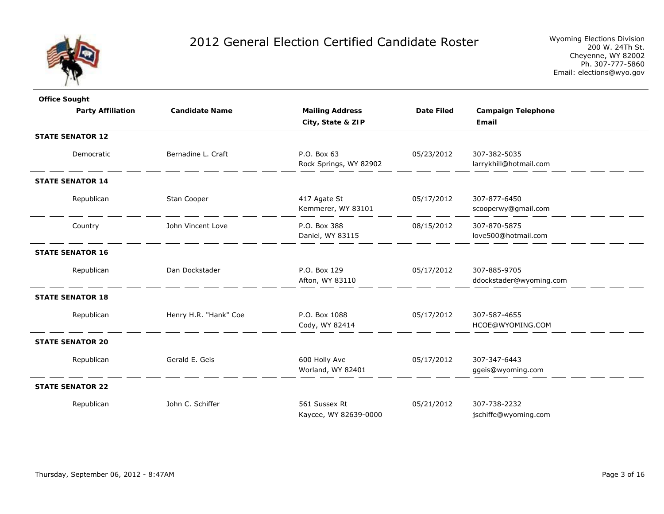

| <b>Office Sought</b>     |                       |                                        |                   |                                        |
|--------------------------|-----------------------|----------------------------------------|-------------------|----------------------------------------|
| <b>Party Affiliation</b> | <b>Candidate Name</b> | <b>Mailing Address</b>                 | <b>Date Filed</b> | <b>Campaign Telephone</b>              |
|                          |                       | City, State & ZIP                      |                   | Email                                  |
| <b>STATE SENATOR 12</b>  |                       |                                        |                   |                                        |
| Democratic               | Bernadine L. Craft    | P.O. Box 63<br>Rock Springs, WY 82902  | 05/23/2012        | 307-382-5035<br>larrykhill@hotmail.com |
| <b>STATE SENATOR 14</b>  |                       |                                        |                   |                                        |
| Republican               | Stan Cooper           | 417 Agate St<br>Kemmerer, WY 83101     | 05/17/2012        | 307-877-6450<br>scooperwy@gmail.com    |
| Country                  | John Vincent Love     | P.O. Box 388<br>Daniel, WY 83115       | 08/15/2012        | 307-870-5875<br>love500@hotmail.com    |
| <b>STATE SENATOR 16</b>  |                       |                                        |                   |                                        |
| Republican               | Dan Dockstader        | P.O. Box 129                           | 05/17/2012        | 307-885-9705                           |
|                          |                       | Afton, WY 83110                        |                   | ddockstader@wyoming.com                |
| <b>STATE SENATOR 18</b>  |                       |                                        |                   |                                        |
| Republican               | Henry H.R. "Hank" Coe | P.O. Box 1088<br>Cody, WY 82414        | 05/17/2012        | 307-587-4655<br>HCOE@WYOMING.COM       |
| <b>STATE SENATOR 20</b>  |                       |                                        |                   |                                        |
| Republican               | Gerald E. Geis        | 600 Holly Ave<br>Worland, WY 82401     | 05/17/2012        | 307-347-6443<br>ggeis@wyoming.com      |
| <b>STATE SENATOR 22</b>  |                       |                                        |                   |                                        |
| Republican               | John C. Schiffer      | 561 Sussex Rt<br>Kaycee, WY 82639-0000 | 05/21/2012        | 307-738-2232<br>jschiffe@wyoming.com   |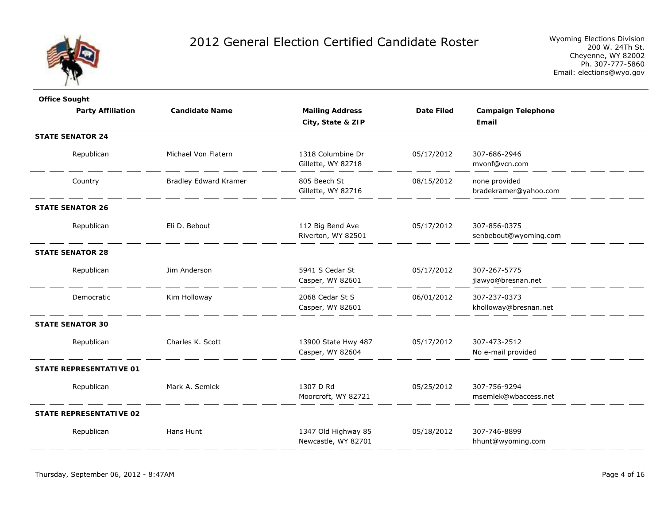

| <b>Office Sought</b>           |                              |                                            |                   |                                        |  |
|--------------------------------|------------------------------|--------------------------------------------|-------------------|----------------------------------------|--|
| <b>Party Affiliation</b>       | <b>Candidate Name</b>        | <b>Mailing Address</b>                     | <b>Date Filed</b> | <b>Campaign Telephone</b>              |  |
|                                |                              | City, State & ZIP                          |                   | Email                                  |  |
| <b>STATE SENATOR 24</b>        |                              |                                            |                   |                                        |  |
| Republican                     | Michael Von Flatern          | 1318 Columbine Dr<br>Gillette, WY 82718    | 05/17/2012        | 307-686-2946<br>mvonf@vcn.com          |  |
| Country                        | <b>Bradley Edward Kramer</b> | 805 Beech St<br>Gillette, WY 82716         | 08/15/2012        | none provided<br>bradekramer@yahoo.com |  |
| <b>STATE SENATOR 26</b>        |                              |                                            |                   |                                        |  |
| Republican                     | Eli D. Bebout                | 112 Big Bend Ave<br>Riverton, WY 82501     | 05/17/2012        | 307-856-0375<br>senbebout@wyoming.com  |  |
| <b>STATE SENATOR 28</b>        |                              |                                            |                   |                                        |  |
| Republican                     | Jim Anderson                 | 5941 S Cedar St<br>Casper, WY 82601        | 05/17/2012        | 307-267-5775<br>jlawyo@bresnan.net     |  |
| Democratic                     | Kim Holloway                 | 2068 Cedar St S<br>Casper, WY 82601        | 06/01/2012        | 307-237-0373<br>kholloway@bresnan.net  |  |
| <b>STATE SENATOR 30</b>        |                              |                                            |                   |                                        |  |
| Republican                     | Charles K. Scott             | 13900 State Hwy 487<br>Casper, WY 82604    | 05/17/2012        | 307-473-2512<br>No e-mail provided     |  |
| <b>STATE REPRESENTATIVE 01</b> |                              |                                            |                   |                                        |  |
| Republican                     | Mark A. Semlek               | 1307 D Rd<br>Moorcroft, WY 82721           | 05/25/2012        | 307-756-9294<br>msemlek@wbaccess.net   |  |
| <b>STATE REPRESENTATIVE 02</b> |                              |                                            |                   |                                        |  |
| Republican                     | Hans Hunt                    | 1347 Old Highway 85<br>Newcastle, WY 82701 | 05/18/2012        | 307-746-8899<br>hhunt@wyoming.com      |  |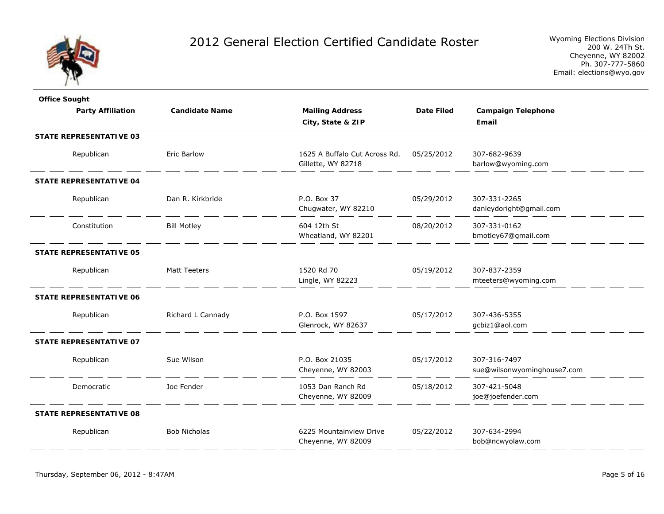

| <b>Office Sought</b>           |                       |                                                     |                   |                                         |
|--------------------------------|-----------------------|-----------------------------------------------------|-------------------|-----------------------------------------|
| <b>Party Affiliation</b>       | <b>Candidate Name</b> | <b>Mailing Address</b>                              | <b>Date Filed</b> | <b>Campaign Telephone</b>               |
|                                |                       | City, State & ZIP                                   |                   | Email                                   |
| <b>STATE REPRESENTATIVE 03</b> |                       |                                                     |                   |                                         |
| Republican                     | <b>Eric Barlow</b>    | 1625 A Buffalo Cut Across Rd.<br>Gillette, WY 82718 | 05/25/2012        | 307-682-9639<br>barlow@wyoming.com      |
| <b>STATE REPRESENTATIVE 04</b> |                       |                                                     |                   |                                         |
| Republican                     | Dan R. Kirkbride      | P.O. Box 37<br>Chugwater, WY 82210                  | 05/29/2012        | 307-331-2265<br>danleydoright@gmail.com |
| Constitution                   | <b>Bill Motley</b>    | 604 12th St<br>Wheatland, WY 82201                  | 08/20/2012        | 307-331-0162<br>bmotley67@gmail.com     |
| <b>STATE REPRESENTATIVE 05</b> |                       |                                                     |                   |                                         |
| Republican                     | Matt Teeters          | 1520 Rd 70                                          | 05/19/2012        | 307-837-2359                            |
|                                |                       | Lingle, WY 82223                                    |                   | mteeters@wyoming.com                    |
| <b>STATE REPRESENTATIVE 06</b> |                       |                                                     |                   |                                         |
| Republican                     | Richard L Cannady     | P.O. Box 1597                                       | 05/17/2012        | 307-436-5355                            |
|                                |                       | Glenrock, WY 82637                                  |                   | gcbiz1@aol.com                          |
| <b>STATE REPRESENTATIVE 07</b> |                       |                                                     |                   |                                         |
| Republican                     | Sue Wilson            | P.O. Box 21035                                      | 05/17/2012        | 307-316-7497                            |
|                                |                       | Cheyenne, WY 82003                                  |                   | sue@wilsonwyominghouse7.com             |
| Democratic                     | Joe Fender            | 1053 Dan Ranch Rd                                   | 05/18/2012        | 307-421-5048                            |
|                                |                       | Cheyenne, WY 82009                                  |                   | joe@joefender.com                       |
| <b>STATE REPRESENTATIVE 08</b> |                       |                                                     |                   |                                         |
| Republican                     | <b>Bob Nicholas</b>   | 6225 Mountainview Drive                             | 05/22/2012        | 307-634-2994                            |
|                                |                       | Cheyenne, WY 82009                                  |                   | bob@ncwyolaw.com                        |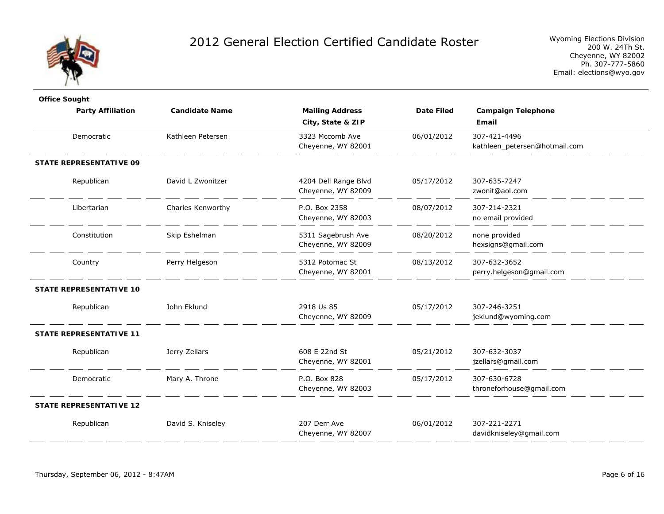

| <b>Office Sought</b>           |                       |                        |                   |                               |
|--------------------------------|-----------------------|------------------------|-------------------|-------------------------------|
| <b>Party Affiliation</b>       | <b>Candidate Name</b> | <b>Mailing Address</b> | <b>Date Filed</b> | <b>Campaign Telephone</b>     |
|                                |                       | City, State & ZIP      |                   | Email                         |
| Democratic                     | Kathleen Petersen     | 3323 Mccomb Ave        | 06/01/2012        | 307-421-4496                  |
|                                |                       | Cheyenne, WY 82001     |                   | kathleen_petersen@hotmail.com |
| <b>STATE REPRESENTATIVE 09</b> |                       |                        |                   |                               |
| Republican                     | David L Zwonitzer     | 4204 Dell Range Blvd   | 05/17/2012        | 307-635-7247                  |
|                                |                       | Cheyenne, WY 82009     |                   | zwonit@aol.com                |
| Libertarian                    | Charles Kenworthy     | P.O. Box 2358          | 08/07/2012        | 307-214-2321                  |
|                                |                       | Cheyenne, WY 82003     |                   | no email provided             |
| Constitution                   | Skip Eshelman         | 5311 Sagebrush Ave     | 08/20/2012        | none provided                 |
|                                |                       | Cheyenne, WY 82009     |                   | hexsigns@gmail.com            |
| Country                        | Perry Helgeson        | 5312 Potomac St        | 08/13/2012        | 307-632-3652                  |
|                                |                       | Cheyenne, WY 82001     |                   | perry.helgeson@gmail.com      |
| <b>STATE REPRESENTATIVE 10</b> |                       |                        |                   |                               |
| Republican                     | John Eklund           | 2918 Us 85             | 05/17/2012        | 307-246-3251                  |
|                                |                       | Cheyenne, WY 82009     |                   | jeklund@wyoming.com           |
| <b>STATE REPRESENTATIVE 11</b> |                       |                        |                   |                               |
| Republican                     | Jerry Zellars         | 608 E 22nd St          | 05/21/2012        | 307-632-3037                  |
|                                |                       | Cheyenne, WY 82001     |                   | jzellars@gmail.com            |
| Democratic                     | Mary A. Throne        | P.O. Box 828           | 05/17/2012        | 307-630-6728                  |
|                                |                       | Cheyenne, WY 82003     |                   | throneforhouse@gmail.com      |
| <b>STATE REPRESENTATIVE 12</b> |                       |                        |                   |                               |
| Republican                     | David S. Kniseley     | 207 Derr Ave           | 06/01/2012        | 307-221-2271                  |
|                                |                       | Cheyenne, WY 82007     |                   | davidkniseley@gmail.com       |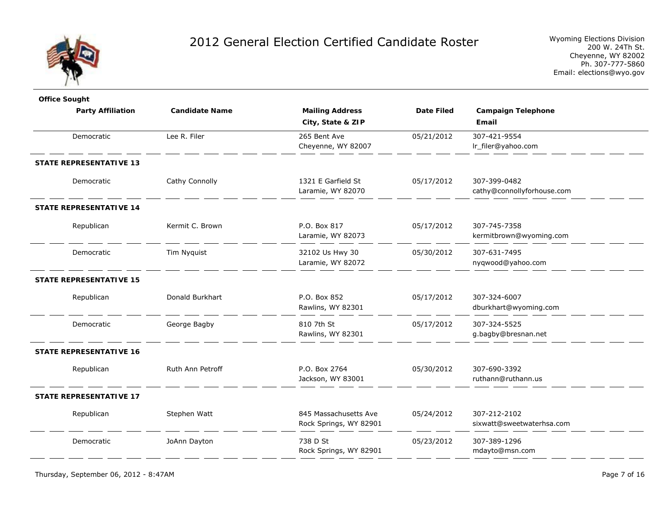

Wyoming Elections Division 200 W. 24Th St. Cheyenne, WY 82002 Ph. 307-777-5860 Email: elections@wyo.gov

| <b>Office Sought</b>           |                       |                        |                   |                            |
|--------------------------------|-----------------------|------------------------|-------------------|----------------------------|
| <b>Party Affiliation</b>       | <b>Candidate Name</b> | <b>Mailing Address</b> | <b>Date Filed</b> | <b>Campaign Telephone</b>  |
|                                |                       | City, State & ZIP      |                   | Email                      |
| Democratic                     | Lee R. Filer          | 265 Bent Ave           | 05/21/2012        | 307-421-9554               |
|                                |                       | Cheyenne, WY 82007     |                   | lr_filer@yahoo.com         |
| <b>STATE REPRESENTATIVE 13</b> |                       |                        |                   |                            |
| Democratic                     | Cathy Connolly        | 1321 E Garfield St     | 05/17/2012        | 307-399-0482               |
|                                |                       | Laramie, WY 82070      |                   | cathy@connollyforhouse.com |
| <b>STATE REPRESENTATIVE 14</b> |                       |                        |                   |                            |
| Republican                     | Kermit C. Brown       | P.O. Box 817           | 05/17/2012        | 307-745-7358               |
|                                |                       | Laramie, WY 82073      |                   | kermitbrown@wyoming.com    |
| Democratic                     | Tim Nyquist           | 32102 Us Hwy 30        | 05/30/2012        | 307-631-7495               |
|                                |                       | Laramie, WY 82072      |                   | nyqwood@yahoo.com          |
| <b>STATE REPRESENTATIVE 15</b> |                       |                        |                   |                            |
| Republican                     | Donald Burkhart       | P.O. Box 852           | 05/17/2012        | 307-324-6007               |
|                                |                       | Rawlins, WY 82301      |                   | dburkhart@wyoming.com      |
| Democratic                     | George Bagby          | 810 7th St             | 05/17/2012        | 307-324-5525               |
|                                |                       | Rawlins, WY 82301      |                   | g.bagby@bresnan.net        |
| <b>STATE REPRESENTATIVE 16</b> |                       |                        |                   |                            |
| Republican                     | Ruth Ann Petroff      | P.O. Box 2764          | 05/30/2012        | 307-690-3392               |
|                                |                       | Jackson, WY 83001      |                   | ruthann@ruthann.us         |
| <b>STATE REPRESENTATIVE 17</b> |                       |                        |                   |                            |
| Republican                     | Stephen Watt          | 845 Massachusetts Ave  | 05/24/2012        | 307-212-2102               |
|                                |                       | Rock Springs, WY 82901 |                   | sixwatt@sweetwaterhsa.com  |
| Democratic                     | JoAnn Dayton          | 738 D St               | 05/23/2012        | 307-389-1296               |
|                                |                       | Rock Springs, WY 82901 |                   | mdayto@msn.com             |
|                                |                       |                        |                   |                            |

Thursday, September 06, 2012 - 8:47AM Page 7 of 16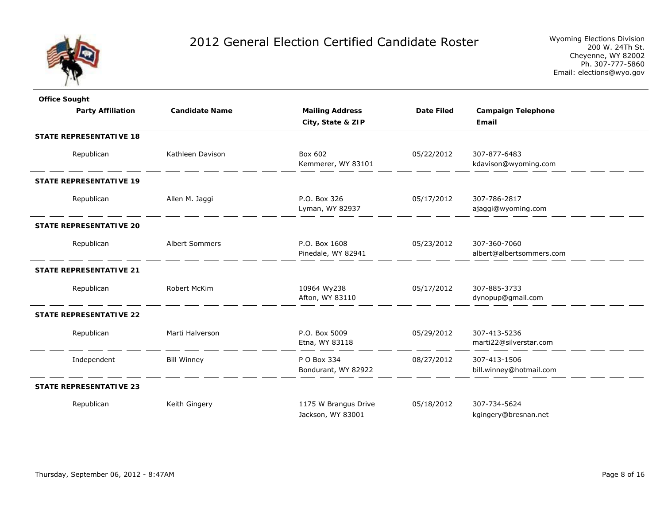

| <b>Office Sought</b>           |                       |                                           |                   |                                          |
|--------------------------------|-----------------------|-------------------------------------------|-------------------|------------------------------------------|
| <b>Party Affiliation</b>       | <b>Candidate Name</b> | <b>Mailing Address</b>                    | <b>Date Filed</b> | <b>Campaign Telephone</b>                |
|                                |                       | City, State & ZIP                         |                   | Email                                    |
| <b>STATE REPRESENTATIVE 18</b> |                       |                                           |                   |                                          |
| Republican                     | Kathleen Davison      | Box 602<br>Kemmerer, WY 83101             | 05/22/2012        | 307-877-6483<br>kdavison@wyoming.com     |
| <b>STATE REPRESENTATIVE 19</b> |                       |                                           |                   |                                          |
| Republican                     | Allen M. Jaggi        | P.O. Box 326<br>Lyman, WY 82937           | 05/17/2012        | 307-786-2817<br>ajaggi@wyoming.com       |
| <b>STATE REPRESENTATIVE 20</b> |                       |                                           |                   |                                          |
| Republican                     | Albert Sommers        | P.O. Box 1608<br>Pinedale, WY 82941       | 05/23/2012        | 307-360-7060<br>albert@albertsommers.com |
| <b>STATE REPRESENTATIVE 21</b> |                       |                                           |                   |                                          |
| Republican                     | Robert McKim          | 10964 Wy238<br>Afton, WY 83110            | 05/17/2012        | 307-885-3733<br>dynopup@gmail.com        |
| <b>STATE REPRESENTATIVE 22</b> |                       |                                           |                   |                                          |
| Republican                     | Marti Halverson       | P.O. Box 5009<br>Etna, WY 83118           | 05/29/2012        | 307-413-5236<br>marti22@silverstar.com   |
| Independent                    | <b>Bill Winney</b>    | P O Box 334<br>Bondurant, WY 82922        | 08/27/2012        | 307-413-1506<br>bill.winney@hotmail.com  |
| <b>STATE REPRESENTATIVE 23</b> |                       |                                           |                   |                                          |
| Republican                     | Keith Gingery         | 1175 W Brangus Drive<br>Jackson, WY 83001 | 05/18/2012        | 307-734-5624<br>kgingery@bresnan.net     |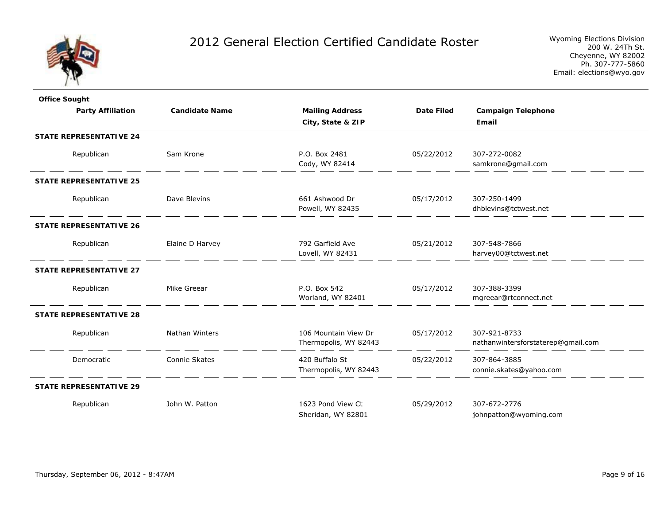

| <b>Office Sought</b>           |                       |                                               |                   |                                                    |
|--------------------------------|-----------------------|-----------------------------------------------|-------------------|----------------------------------------------------|
| <b>Party Affiliation</b>       | <b>Candidate Name</b> | <b>Mailing Address</b>                        | <b>Date Filed</b> | <b>Campaign Telephone</b>                          |
|                                |                       | City, State & ZIP                             |                   | Email                                              |
| <b>STATE REPRESENTATIVE 24</b> |                       |                                               |                   |                                                    |
| Republican                     | Sam Krone             | P.O. Box 2481<br>Cody, WY 82414               | 05/22/2012        | 307-272-0082<br>samkrone@gmail.com                 |
| <b>STATE REPRESENTATIVE 25</b> |                       |                                               |                   |                                                    |
| Republican                     | Dave Blevins          | 661 Ashwood Dr<br>Powell, WY 82435            | 05/17/2012        | 307-250-1499<br>dhblevins@tctwest.net              |
| <b>STATE REPRESENTATIVE 26</b> |                       |                                               |                   |                                                    |
| Republican                     | Elaine D Harvey       | 792 Garfield Ave<br>Lovell, WY 82431          | 05/21/2012        | 307-548-7866<br>harvey00@tctwest.net               |
| <b>STATE REPRESENTATIVE 27</b> |                       |                                               |                   |                                                    |
| Republican                     | Mike Greear           | P.O. Box 542<br>Worland, WY 82401             | 05/17/2012        | 307-388-3399<br>mgreear@rtconnect.net              |
| <b>STATE REPRESENTATIVE 28</b> |                       |                                               |                   |                                                    |
| Republican                     | Nathan Winters        | 106 Mountain View Dr<br>Thermopolis, WY 82443 | 05/17/2012        | 307-921-8733<br>nathanwintersforstaterep@gmail.com |
| Democratic                     | Connie Skates         | 420 Buffalo St<br>Thermopolis, WY 82443       | 05/22/2012        | 307-864-3885<br>connie.skates@yahoo.com            |
| <b>STATE REPRESENTATIVE 29</b> |                       |                                               |                   |                                                    |
| Republican                     | John W. Patton        | 1623 Pond View Ct<br>Sheridan, WY 82801       | 05/29/2012        | 307-672-2776<br>johnpatton@wyoming.com             |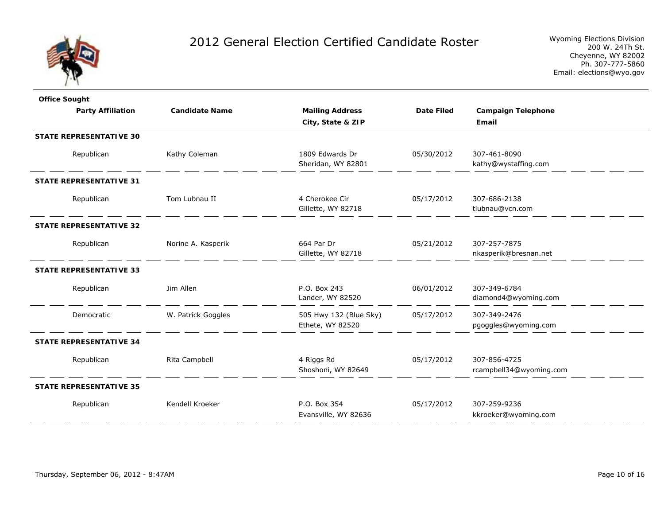

| <b>Office Sought</b>           |                       |                                            |                   |                                         |
|--------------------------------|-----------------------|--------------------------------------------|-------------------|-----------------------------------------|
| <b>Party Affiliation</b>       | <b>Candidate Name</b> | <b>Mailing Address</b>                     | <b>Date Filed</b> | <b>Campaign Telephone</b>               |
|                                |                       | City, State & ZIP                          |                   | Email                                   |
| <b>STATE REPRESENTATIVE 30</b> |                       |                                            |                   |                                         |
| Republican                     | Kathy Coleman         | 1809 Edwards Dr<br>Sheridan, WY 82801      | 05/30/2012        | 307-461-8090<br>kathy@wystaffing.com    |
| <b>STATE REPRESENTATIVE 31</b> |                       |                                            |                   |                                         |
| Republican                     | Tom Lubnau II         | 4 Cherokee Cir<br>Gillette, WY 82718       | 05/17/2012        | 307-686-2138<br>tlubnau@vcn.com         |
| <b>STATE REPRESENTATIVE 32</b> |                       |                                            |                   |                                         |
| Republican                     | Norine A. Kasperik    | 664 Par Dr<br>Gillette, WY 82718           | 05/21/2012        | 307-257-7875<br>nkasperik@bresnan.net   |
| <b>STATE REPRESENTATIVE 33</b> |                       |                                            |                   |                                         |
| Republican                     | Jim Allen             | P.O. Box 243<br>Lander, WY 82520           | 06/01/2012        | 307-349-6784<br>diamond4@wyoming.com    |
| Democratic                     | W. Patrick Goggles    | 505 Hwy 132 (Blue Sky)<br>Ethete, WY 82520 | 05/17/2012        | 307-349-2476<br>pgoggles@wyoming.com    |
| <b>STATE REPRESENTATIVE 34</b> |                       |                                            |                   |                                         |
| Republican                     | Rita Campbell         | 4 Riggs Rd<br>Shoshoni, WY 82649           | 05/17/2012        | 307-856-4725<br>rcampbell34@wyoming.com |
| <b>STATE REPRESENTATIVE 35</b> |                       |                                            |                   |                                         |
| Republican                     | Kendell Kroeker       | P.O. Box 354<br>Evansville, WY 82636       | 05/17/2012        | 307-259-9236<br>kkroeker@wyoming.com    |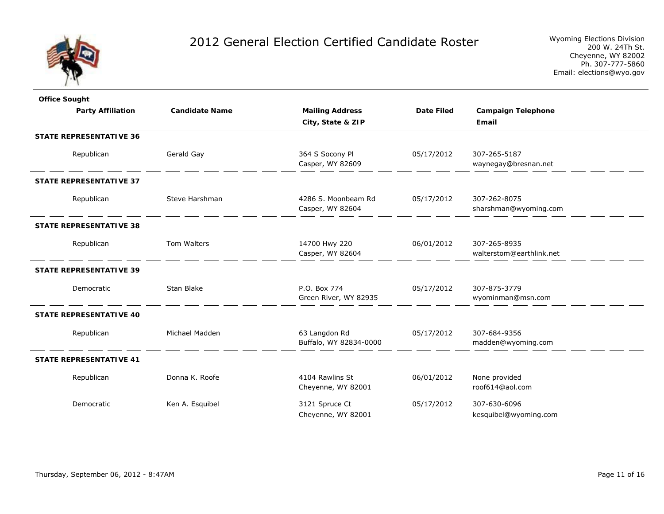

| <b>Office Sought</b>           |                       |                        |                   |                           |  |  |  |
|--------------------------------|-----------------------|------------------------|-------------------|---------------------------|--|--|--|
| <b>Party Affiliation</b>       | <b>Candidate Name</b> | <b>Mailing Address</b> | <b>Date Filed</b> | <b>Campaign Telephone</b> |  |  |  |
|                                |                       | City, State & ZIP      |                   | Email                     |  |  |  |
| <b>STATE REPRESENTATIVE 36</b> |                       |                        |                   |                           |  |  |  |
| Republican                     | Gerald Gay            | 364 S Socony Pl        | 05/17/2012        | 307-265-5187              |  |  |  |
|                                |                       | Casper, WY 82609       |                   | waynegay@bresnan.net      |  |  |  |
| <b>STATE REPRESENTATIVE 37</b> |                       |                        |                   |                           |  |  |  |
| Republican                     | Steve Harshman        | 4286 S. Moonbeam Rd    | 05/17/2012        | 307-262-8075              |  |  |  |
|                                |                       | Casper, WY 82604       |                   | sharshman@wyoming.com     |  |  |  |
| <b>STATE REPRESENTATIVE 38</b> |                       |                        |                   |                           |  |  |  |
| Republican                     | Tom Walters           | 14700 Hwy 220          | 06/01/2012        | 307-265-8935              |  |  |  |
|                                |                       | Casper, WY 82604       |                   | walterstom@earthlink.net  |  |  |  |
| <b>STATE REPRESENTATIVE 39</b> |                       |                        |                   |                           |  |  |  |
| Democratic                     | Stan Blake            | P.O. Box 774           | 05/17/2012        | 307-875-3779              |  |  |  |
|                                |                       | Green River, WY 82935  |                   | wyominman@msn.com         |  |  |  |
| <b>STATE REPRESENTATIVE 40</b> |                       |                        |                   |                           |  |  |  |
| Republican                     | Michael Madden        | 63 Langdon Rd          | 05/17/2012        | 307-684-9356              |  |  |  |
|                                |                       | Buffalo, WY 82834-0000 |                   | madden@wyoming.com        |  |  |  |
| <b>STATE REPRESENTATIVE 41</b> |                       |                        |                   |                           |  |  |  |
| Republican                     | Donna K. Roofe        | 4104 Rawlins St        | 06/01/2012        | None provided             |  |  |  |
|                                |                       | Cheyenne, WY 82001     |                   | roof614@aol.com           |  |  |  |
| Democratic                     | Ken A. Esquibel       | 3121 Spruce Ct         | 05/17/2012        | 307-630-6096              |  |  |  |
|                                |                       | Cheyenne, WY 82001     |                   | kesquibel@wyoming.com     |  |  |  |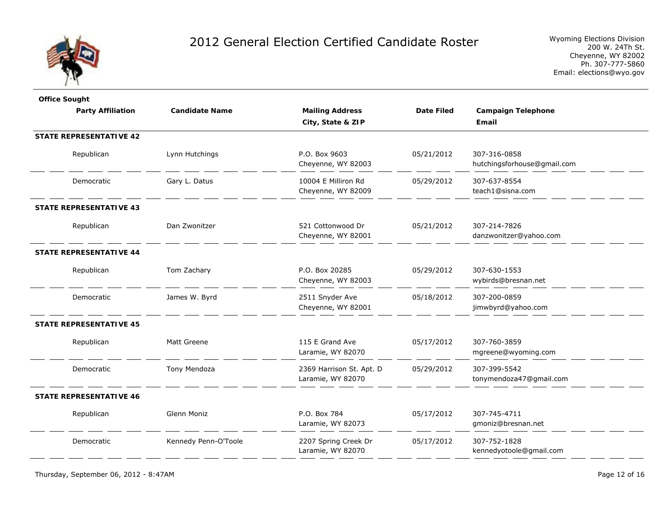

| <b>Office Sought</b>           |                       |                          |                   |                             |
|--------------------------------|-----------------------|--------------------------|-------------------|-----------------------------|
| <b>Party Affiliation</b>       | <b>Candidate Name</b> | <b>Mailing Address</b>   | <b>Date Filed</b> | <b>Campaign Telephone</b>   |
|                                |                       | City, State & ZIP        |                   | Email                       |
| <b>STATE REPRESENTATIVE 42</b> |                       |                          |                   |                             |
| Republican                     | Lynn Hutchings        | P.O. Box 9603            | 05/21/2012        | 307-316-0858                |
|                                |                       | Cheyenne, WY 82003       |                   | hutchingsforhouse@gmail.com |
| Democratic                     | Gary L. Datus         | 10004 E Milliron Rd      | 05/29/2012        | 307-637-8554                |
|                                |                       | Cheyenne, WY 82009       |                   | teach1@sisna.com            |
| <b>STATE REPRESENTATIVE 43</b> |                       |                          |                   |                             |
| Republican                     | Dan Zwonitzer         | 521 Cottonwood Dr        | 05/21/2012        | 307-214-7826                |
|                                |                       | Cheyenne, WY 82001       |                   | danzwonitzer@yahoo.com      |
| <b>STATE REPRESENTATIVE 44</b> |                       |                          |                   |                             |
| Republican                     | Tom Zachary           | P.O. Box 20285           | 05/29/2012        | 307-630-1553                |
|                                |                       | Cheyenne, WY 82003       |                   | wybirds@bresnan.net         |
| Democratic                     | James W. Byrd         | 2511 Snyder Ave          | 05/18/2012        | 307-200-0859                |
|                                |                       | Cheyenne, WY 82001       |                   | jimwbyrd@yahoo.com          |
| <b>STATE REPRESENTATIVE 45</b> |                       |                          |                   |                             |
| Republican                     | Matt Greene           | 115 E Grand Ave          | 05/17/2012        | 307-760-3859                |
|                                |                       | Laramie, WY 82070        |                   | mgreene@wyoming.com         |
| Democratic                     | Tony Mendoza          | 2369 Harrison St. Apt. D | 05/29/2012        | 307-399-5542                |
|                                |                       | Laramie, WY 82070        |                   | tonymendoza47@gmail.com     |
| <b>STATE REPRESENTATIVE 46</b> |                       |                          |                   |                             |
| Republican                     | Glenn Moniz           | P.O. Box 784             | 05/17/2012        | 307-745-4711                |
|                                |                       | Laramie, WY 82073        |                   | gmoniz@bresnan.net          |
| Democratic                     | Kennedy Penn-O'Toole  | 2207 Spring Creek Dr     | 05/17/2012        | 307-752-1828                |
|                                |                       | Laramie, WY 82070        |                   | kennedyotoole@gmail.com     |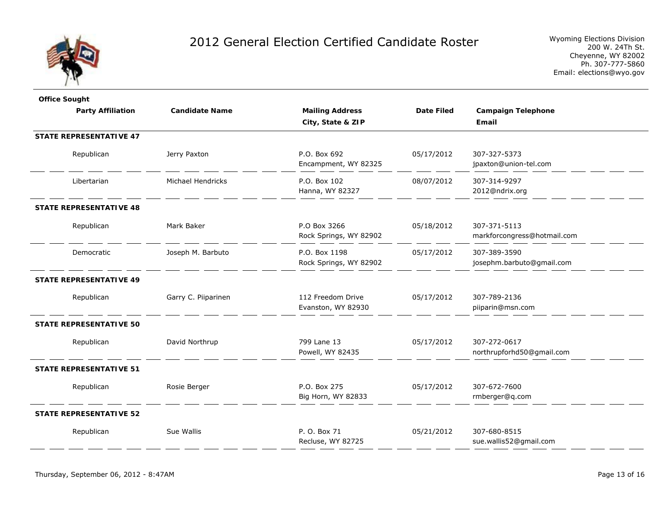

| <b>Office Sought</b>           |                       |                                             |                   |                                             |
|--------------------------------|-----------------------|---------------------------------------------|-------------------|---------------------------------------------|
| <b>Party Affiliation</b>       | <b>Candidate Name</b> | <b>Mailing Address</b><br>City, State & ZIP | <b>Date Filed</b> | <b>Campaign Telephone</b><br>Email          |
| <b>STATE REPRESENTATIVE 47</b> |                       |                                             |                   |                                             |
| Republican                     | Jerry Paxton          | P.O. Box 692<br>Encampment, WY 82325        | 05/17/2012        | 307-327-5373<br>jpaxton@union-tel.com       |
| Libertarian                    | Michael Hendricks     | P.O. Box 102<br>Hanna, WY 82327             | 08/07/2012        | 307-314-9297<br>2012@ndrix.org              |
| <b>STATE REPRESENTATIVE 48</b> |                       |                                             |                   |                                             |
| Republican                     | Mark Baker            | P.O Box 3266<br>Rock Springs, WY 82902      | 05/18/2012        | 307-371-5113<br>markforcongress@hotmail.com |
| Democratic                     | Joseph M. Barbuto     | P.O. Box 1198<br>Rock Springs, WY 82902     | 05/17/2012        | 307-389-3590<br>josephm.barbuto@gmail.com   |
| <b>STATE REPRESENTATIVE 49</b> |                       |                                             |                   |                                             |
| Republican                     | Garry C. Piiparinen   | 112 Freedom Drive<br>Evanston, WY 82930     | 05/17/2012        | 307-789-2136<br>piiparin@msn.com            |
| <b>STATE REPRESENTATIVE 50</b> |                       |                                             |                   |                                             |
| Republican                     | David Northrup        | 799 Lane 13<br>Powell, WY 82435             | 05/17/2012        | 307-272-0617<br>northrupforhd50@gmail.com   |
| <b>STATE REPRESENTATIVE 51</b> |                       |                                             |                   |                                             |
| Republican                     | Rosie Berger          | P.O. Box 275<br>Big Horn, WY 82833          | 05/17/2012        | 307-672-7600<br>rmberger@q.com              |
| <b>STATE REPRESENTATIVE 52</b> |                       |                                             |                   |                                             |
| Republican                     | Sue Wallis            | P. O. Box 71<br>Recluse, WY 82725           | 05/21/2012        | 307-680-8515<br>sue.wallis52@gmail.com      |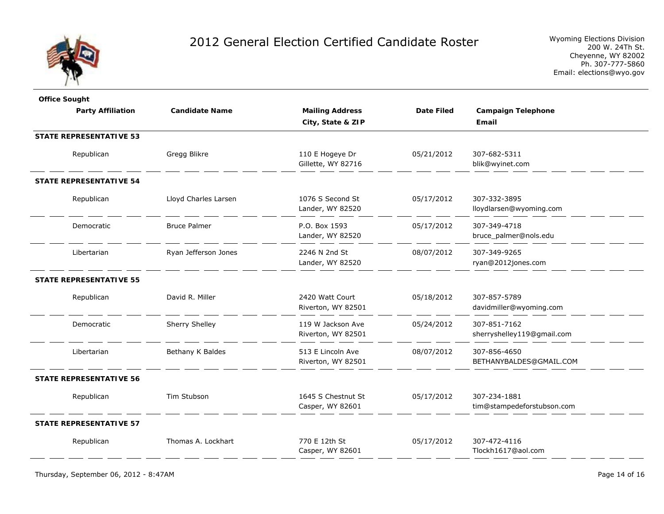

| <b>Office Sought</b>           |                       |                        |                   |                            |  |
|--------------------------------|-----------------------|------------------------|-------------------|----------------------------|--|
| <b>Party Affiliation</b>       | <b>Candidate Name</b> | <b>Mailing Address</b> | <b>Date Filed</b> | <b>Campaign Telephone</b>  |  |
|                                |                       | City, State & ZIP      |                   | Email                      |  |
| <b>STATE REPRESENTATIVE 53</b> |                       |                        |                   |                            |  |
| Republican                     | Gregg Blikre          | 110 E Hogeye Dr        | 05/21/2012        | 307-682-5311               |  |
|                                |                       | Gillette, WY 82716     |                   | blik@wyinet.com            |  |
| <b>STATE REPRESENTATIVE 54</b> |                       |                        |                   |                            |  |
| Republican                     | Lloyd Charles Larsen  | 1076 S Second St       | 05/17/2012        | 307-332-3895               |  |
|                                |                       | Lander, WY 82520       |                   | lloydlarsen@wyoming.com    |  |
| Democratic                     | <b>Bruce Palmer</b>   | P.O. Box 1593          | 05/17/2012        | 307-349-4718               |  |
|                                |                       | Lander, WY 82520       |                   | bruce_palmer@nols.edu      |  |
| Libertarian                    | Ryan Jefferson Jones  | 2246 N 2nd St          | 08/07/2012        | 307-349-9265               |  |
|                                |                       | Lander, WY 82520       |                   | ryan@2012jones.com         |  |
| <b>STATE REPRESENTATIVE 55</b> |                       |                        |                   |                            |  |
| Republican                     | David R. Miller       | 2420 Watt Court        | 05/18/2012        | 307-857-5789               |  |
|                                |                       | Riverton, WY 82501     |                   | davidmiller@wyoming.com    |  |
| Democratic                     | Sherry Shelley        | 119 W Jackson Ave      | 05/24/2012        | 307-851-7162               |  |
|                                |                       | Riverton, WY 82501     |                   | sherryshelley119@gmail.com |  |
| Libertarian                    | Bethany K Baldes      | 513 E Lincoln Ave      | 08/07/2012        | 307-856-4650               |  |
|                                |                       | Riverton, WY 82501     |                   | BETHANYBALDES@GMAIL.COM    |  |
| <b>STATE REPRESENTATIVE 56</b> |                       |                        |                   |                            |  |
| Republican                     | Tim Stubson           | 1645 S Chestnut St     | 05/17/2012        | 307-234-1881               |  |
|                                |                       | Casper, WY 82601       |                   | tim@stampedeforstubson.com |  |
| <b>STATE REPRESENTATIVE 57</b> |                       |                        |                   |                            |  |
| Republican                     | Thomas A. Lockhart    | 770 E 12th St          | 05/17/2012        | 307-472-4116               |  |
|                                |                       | Casper, WY 82601       |                   | Tlockh1617@aol.com         |  |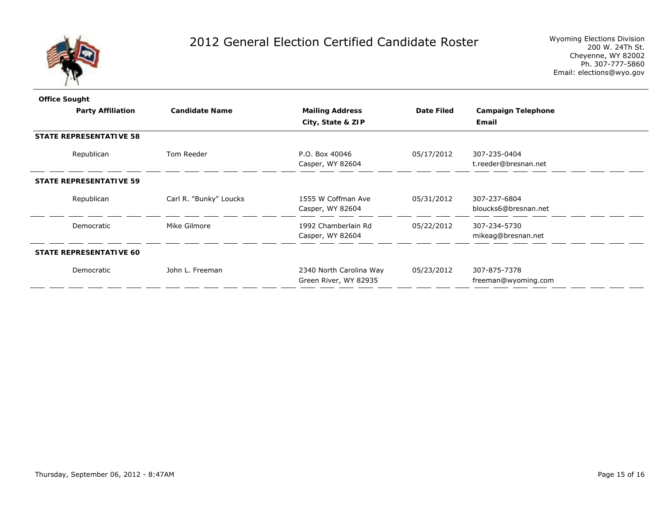

| <b>Office Sought</b>           |                                |                        |                                                  |                   |                                      |  |
|--------------------------------|--------------------------------|------------------------|--------------------------------------------------|-------------------|--------------------------------------|--|
|                                | <b>Party Affiliation</b>       | <b>Candidate Name</b>  | <b>Mailing Address</b>                           | <b>Date Filed</b> | <b>Campaign Telephone</b>            |  |
|                                |                                |                        | City, State & ZIP                                |                   | Email                                |  |
|                                | <b>STATE REPRESENTATIVE 58</b> |                        |                                                  |                   |                                      |  |
|                                | Republican                     | Tom Reeder             | P.O. Box 40046<br>Casper, WY 82604               | 05/17/2012        | 307-235-0404<br>t.reeder@bresnan.net |  |
| <b>STATE REPRESENTATIVE 59</b> |                                |                        |                                                  |                   |                                      |  |
|                                | Republican                     | Carl R. "Bunky" Loucks | 1555 W Coffman Ave<br>Casper, WY 82604           | 05/31/2012        | 307-237-6804<br>bloucks6@bresnan.net |  |
|                                | Democratic                     | Mike Gilmore           | 1992 Chamberlain Rd<br>Casper, WY 82604          | 05/22/2012        | 307-234-5730<br>mikeag@bresnan.net   |  |
|                                | <b>STATE REPRESENTATIVE 60</b> |                        |                                                  |                   |                                      |  |
|                                | Democratic                     | John L. Freeman        | 2340 North Carolina Way<br>Green River, WY 82935 | 05/23/2012        | 307-875-7378<br>freeman@wyoming.com  |  |